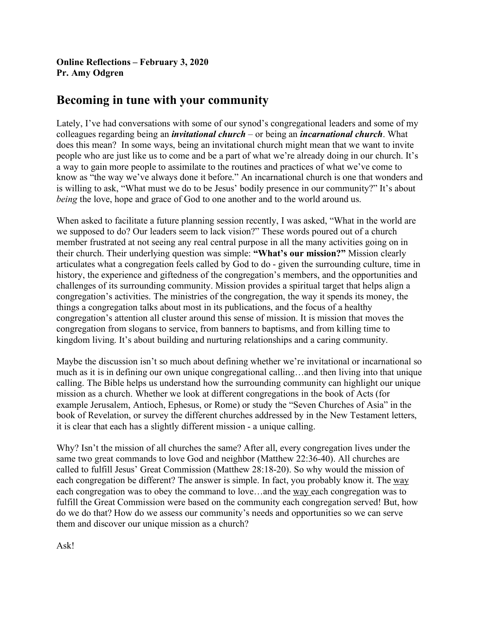**Online Reflections – February 3, 2020 Pr. Amy Odgren**

## **Becoming in tune with your community**

Lately, I've had conversations with some of our synod's congregational leaders and some of my colleagues regarding being an *invitational church* – or being an *incarnational church*. What does this mean? In some ways, being an invitational church might mean that we want to invite people who are just like us to come and be a part of what we're already doing in our church. It's a way to gain more people to assimilate to the routines and practices of what we've come to know as "the way we've always done it before." An incarnational church is one that wonders and is willing to ask, "What must we do to be Jesus' bodily presence in our community?" It's about *being* the love, hope and grace of God to one another and to the world around us.

When asked to facilitate a future planning session recently, I was asked, "What in the world are we supposed to do? Our leaders seem to lack vision?" These words poured out of a church member frustrated at not seeing any real central purpose in all the many activities going on in their church. Their underlying question was simple: **"What's our mission?"** Mission clearly articulates what a congregation feels called by God to do - given the surrounding culture, time in history, the experience and giftedness of the congregation's members, and the opportunities and challenges of its surrounding community. Mission provides a spiritual target that helps align a congregation's activities. The ministries of the congregation, the way it spends its money, the things a congregation talks about most in its publications, and the focus of a healthy congregation's attention all cluster around this sense of mission. It is mission that moves the congregation from slogans to service, from banners to baptisms, and from killing time to kingdom living. It's about building and nurturing relationships and a caring community.

Maybe the discussion isn't so much about defining whether we're invitational or incarnational so much as it is in defining our own unique congregational calling…and then living into that unique calling. The Bible helps us understand how the surrounding community can highlight our unique mission as a church. Whether we look at different congregations in the book of Acts (for example Jerusalem, Antioch, Ephesus, or Rome) or study the "Seven Churches of Asia" in the book of Revelation, or survey the different churches addressed by in the New Testament letters, it is clear that each has a slightly different mission - a unique calling.

Why? Isn't the mission of all churches the same? After all, every congregation lives under the same two great commands to love God and neighbor (Matthew 22:36-40). All churches are called to fulfill Jesus' Great Commission (Matthew 28:18-20). So why would the mission of each congregation be different? The answer is simple. In fact, you probably know it. The way each congregation was to obey the command to love…and the way each congregation was to fulfill the Great Commission were based on the community each congregation served! But, how do we do that? How do we assess our community's needs and opportunities so we can serve them and discover our unique mission as a church?